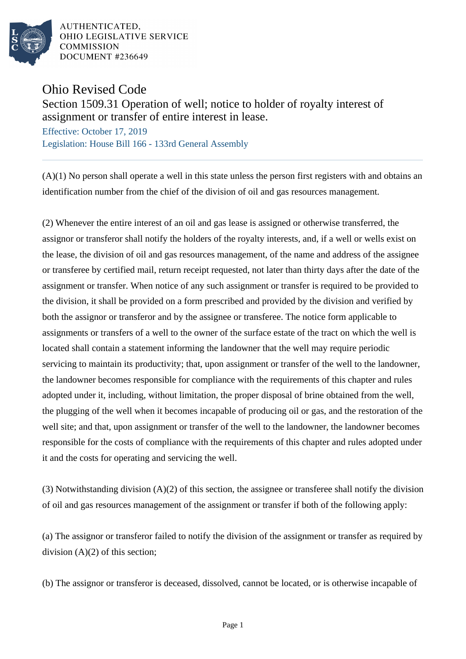

AUTHENTICATED. OHIO LEGISLATIVE SERVICE **COMMISSION** DOCUMENT #236649

Ohio Revised Code

Section 1509.31 Operation of well; notice to holder of royalty interest of assignment or transfer of entire interest in lease.

Effective: October 17, 2019 Legislation: House Bill 166 - 133rd General Assembly

(A)(1) No person shall operate a well in this state unless the person first registers with and obtains an identification number from the chief of the division of oil and gas resources management.

(2) Whenever the entire interest of an oil and gas lease is assigned or otherwise transferred, the assignor or transferor shall notify the holders of the royalty interests, and, if a well or wells exist on the lease, the division of oil and gas resources management, of the name and address of the assignee or transferee by certified mail, return receipt requested, not later than thirty days after the date of the assignment or transfer. When notice of any such assignment or transfer is required to be provided to the division, it shall be provided on a form prescribed and provided by the division and verified by both the assignor or transferor and by the assignee or transferee. The notice form applicable to assignments or transfers of a well to the owner of the surface estate of the tract on which the well is located shall contain a statement informing the landowner that the well may require periodic servicing to maintain its productivity; that, upon assignment or transfer of the well to the landowner, the landowner becomes responsible for compliance with the requirements of this chapter and rules adopted under it, including, without limitation, the proper disposal of brine obtained from the well, the plugging of the well when it becomes incapable of producing oil or gas, and the restoration of the well site; and that, upon assignment or transfer of the well to the landowner, the landowner becomes responsible for the costs of compliance with the requirements of this chapter and rules adopted under it and the costs for operating and servicing the well.

(3) Notwithstanding division (A)(2) of this section, the assignee or transferee shall notify the division of oil and gas resources management of the assignment or transfer if both of the following apply:

(a) The assignor or transferor failed to notify the division of the assignment or transfer as required by division  $(A)(2)$  of this section;

(b) The assignor or transferor is deceased, dissolved, cannot be located, or is otherwise incapable of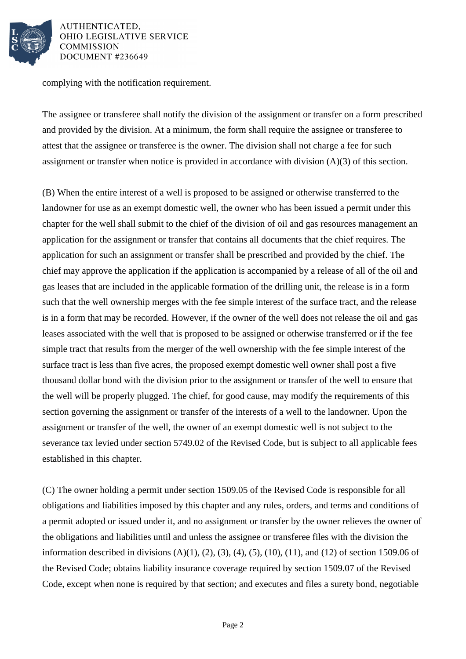

AUTHENTICATED. OHIO LEGISLATIVE SERVICE **COMMISSION** DOCUMENT #236649

complying with the notification requirement.

The assignee or transferee shall notify the division of the assignment or transfer on a form prescribed and provided by the division. At a minimum, the form shall require the assignee or transferee to attest that the assignee or transferee is the owner. The division shall not charge a fee for such assignment or transfer when notice is provided in accordance with division (A)(3) of this section.

(B) When the entire interest of a well is proposed to be assigned or otherwise transferred to the landowner for use as an exempt domestic well, the owner who has been issued a permit under this chapter for the well shall submit to the chief of the division of oil and gas resources management an application for the assignment or transfer that contains all documents that the chief requires. The application for such an assignment or transfer shall be prescribed and provided by the chief. The chief may approve the application if the application is accompanied by a release of all of the oil and gas leases that are included in the applicable formation of the drilling unit, the release is in a form such that the well ownership merges with the fee simple interest of the surface tract, and the release is in a form that may be recorded. However, if the owner of the well does not release the oil and gas leases associated with the well that is proposed to be assigned or otherwise transferred or if the fee simple tract that results from the merger of the well ownership with the fee simple interest of the surface tract is less than five acres, the proposed exempt domestic well owner shall post a five thousand dollar bond with the division prior to the assignment or transfer of the well to ensure that the well will be properly plugged. The chief, for good cause, may modify the requirements of this section governing the assignment or transfer of the interests of a well to the landowner. Upon the assignment or transfer of the well, the owner of an exempt domestic well is not subject to the severance tax levied under section 5749.02 of the Revised Code, but is subject to all applicable fees established in this chapter.

(C) The owner holding a permit under section 1509.05 of the Revised Code is responsible for all obligations and liabilities imposed by this chapter and any rules, orders, and terms and conditions of a permit adopted or issued under it, and no assignment or transfer by the owner relieves the owner of the obligations and liabilities until and unless the assignee or transferee files with the division the information described in divisions  $(A)(1)$ ,  $(2)$ ,  $(3)$ ,  $(4)$ ,  $(5)$ ,  $(10)$ ,  $(11)$ , and  $(12)$  of section 1509.06 of the Revised Code; obtains liability insurance coverage required by section 1509.07 of the Revised Code, except when none is required by that section; and executes and files a surety bond, negotiable